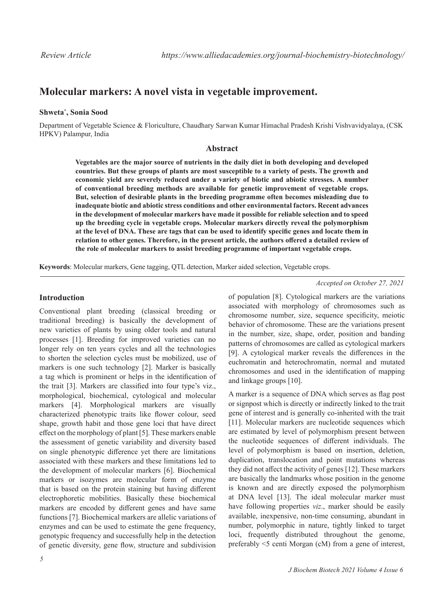# **Molecular markers: A novel vista in vegetable improvement.**

### **Shweta\* , Sonia Sood**

Department of Vegetable Science & Floriculture, Chaudhary Sarwan Kumar Himachal Pradesh Krishi Vishvavidyalaya, (CSK HPKV) Palampur, India

# **Abstract**

**Vegetables are the major source of nutrients in the daily diet in both developing and developed countries. But these groups of plants are most susceptible to a variety of pests. The growth and economic yield are severely reduced under a variety of biotic and abiotic stresses. A number of conventional breeding methods are available for genetic improvement of vegetable crops. But, selection of desirable plants in the breeding programme often becomes misleading due to inadequate biotic and abiotic stress conditions and other environmental factors. Recent advances in the development of molecular markers have made it possible for reliable selection and to speed up the breeding cycle in vegetable crops. Molecular markers directly reveal the polymorphism at the level of DNA. These are tags that can be used to identify specific genes and locate them in relation to other genes. Therefore, in the present article, the authors offered a detailed review of the role of molecular markers to assist breeding programme of important vegetable crops.**

**Keywords**: Molecular markers, Gene tagging, QTL detection, Marker aided selection, Vegetable crops.

#### *Accepted on October 27, 2021*

# **Introduction**

Conventional plant breeding (classical breeding or traditional breeding) is basically the development of new varieties of plants by using older tools and natural processes [1]. Breeding for improved varieties can no longer rely on ten years cycles and all the technologies to shorten the selection cycles must be mobilized, use of markers is one such technology [2]. Marker is basically a tag which is prominent or helps in the identification of the trait [3]. Markers are classified into four type's viz., morphological, biochemical, cytological and molecular markers [4]. Morphological markers are visually characterized phenotypic traits like flower colour, seed shape, growth habit and those gene loci that have direct effect on the morphology of plant [5]. These markers enable the assessment of genetic variability and diversity based on single phenotypic difference yet there are limitations associated with these markers and these limitations led to the development of molecular markers [6]. Biochemical markers or isozymes are molecular form of enzyme that is based on the protein staining but having different electrophoretic mobilities. Basically these biochemical markers are encoded by different genes and have same functions [7]. Biochemical markers are allelic variations of enzymes and can be used to estimate the gene frequency, genotypic frequency and successfully help in the detection of genetic diversity, gene flow, structure and subdivision of population [8]. Cytological markers are the variations associated with morphology of chromosomes such as chromosome number, size, sequence specificity, meiotic behavior of chromosome. These are the variations present in the number, size, shape, order, position and banding patterns of chromosomes are called as cytological markers [9]. A cytological marker reveals the differences in the euchromatin and heterochromatin, normal and mutated chromosomes and used in the identification of mapping and linkage groups [10].

A marker is a sequence of DNA which serves as flag post or signpost which is directly or indirectly linked to the trait gene of interest and is generally co-inherited with the trait [11]. Molecular markers are nucleotide sequences which are estimated by level of polymorphism present between the nucleotide sequences of different individuals. The level of polymorphism is based on insertion, deletion, duplication, translocation and point mutations whereas they did not affect the activity of genes [12]. These markers are basically the landmarks whose position in the genome is known and are directly exposed the polymorphism at DNA level [13]. The ideal molecular marker must have following properties *viz*., marker should be easily available, inexpensive, non-time consuming, abundant in number, polymorphic in nature, tightly linked to target loci, frequently distributed throughout the genome, preferably <5 centi Morgan (cM) from a gene of interest,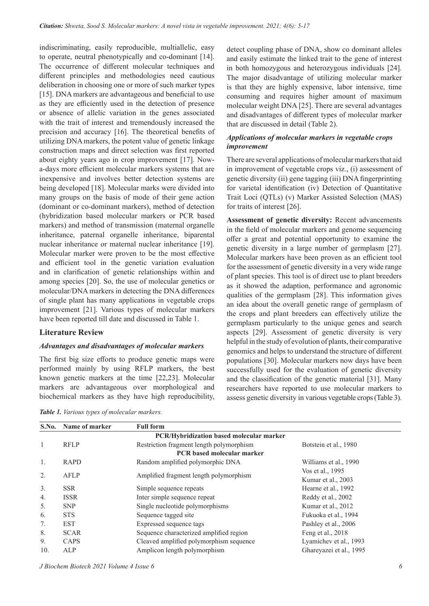indiscriminating, easily reproducible, multiallelic, easy to operate, neutral phenotypically and co-dominant [14]. The occurrence of different molecular techniques and different principles and methodologies need cautious deliberation in choosing one or more of such marker types [15]. DNA markers are advantageous and beneficial to use as they are efficiently used in the detection of presence or absence of allelic variation in the genes associated with the trait of interest and tremendously increased the precision and accuracy [16]. The theoretical benefits of utilizing DNA markers, the potent value of genetic linkage construction maps and direct selection was first reported about eighty years ago in crop improvement [17]. Nowa-days more efficient molecular markers systems that are inexpensive and involves better detection systems are being developed [18]. Molecular marks were divided into many groups on the basis of mode of their gene action (dominant or co-dominant markers), method of detection (hybridization based molecular markers or PCR based markers) and method of transmission (maternal organelle inheritance, paternal organelle inheritance, biparental nuclear inheritance or maternal nuclear inheritance [19]. Molecular marker were proven to be the most effective and efficient tool in the genetic variation evaluation and in clarification of genetic relationships within and among species [20]. So, the use of molecular genetics or molecular/DNA markers in detecting the DNA differences of single plant has many applications in vegetable crops improvement [21]. Various types of molecular markers have been reported till date and discussed in Table 1.

#### **Literature Review**

### *Advantages and disadvantages of molecular markers*

The first big size efforts to produce genetic maps were performed mainly by using RFLP markers, the best known genetic markers at the time [22,23]. Molecular markers are advantageous over morphological and biochemical markers as they have high reproducibility, detect coupling phase of DNA, show co dominant alleles and easily estimate the linked trait to the gene of interest in both homozygous and heterozygous individuals [24]. The major disadvantage of utilizing molecular marker is that they are highly expensive, labor intensive, time consuming and requires higher amount of maximum molecular weight DNA [25]. There are several advantages and disadvantages of different types of molecular marker that are discussed in detail (Table 2).

### *Applications of molecular markers in vegetable crops improvement*

There are several applications of molecular markers that aid in improvement of vegetable crops viz., (i) assessment of genetic diversity (ii) gene tagging (iii) DNA fingerprinting for varietal identification (iv) Detection of Quantitative Trait Loci (QTLs) (v) Marker Assisted Selection (MAS) for traits of interest [26].

**Assessment of genetic diversity:** Recent advancements in the field of molecular markers and genome sequencing offer a great and potential opportunity to examine the genetic diversity in a large number of germplasm [27]. Molecular markers have been proven as an efficient tool for the assessment of genetic diversity in a very wide range of plant species. This tool is of direct use to plant breeders as it showed the adaption, performance and agronomic qualities of the germplasm [28]. This information gives an idea about the overall genetic range of germplasm of the crops and plant breeders can effectively utilize the germplasm particularly to the unique genes and search aspects [29]. Assessment of genetic diversity is very helpful in the study of evolution of plants, their comparative genomics and helps to understand the structure of different populations [30]. Molecular markers now days have been successfully used for the evaluation of genetic diversity and the classification of the genetic material [31]. Many researchers have reported to use molecular markers to assess genetic diversity in various vegetable crops (Table 3).

*Table 1. Various types of molecular markers.*

| S.No.        | Name of marker                                  | <b>Full form</b>                         |                         |  |  |  |  |  |
|--------------|-------------------------------------------------|------------------------------------------|-------------------------|--|--|--|--|--|
|              | <b>PCR/Hybridization based molecular marker</b> |                                          |                         |  |  |  |  |  |
| $\mathbf{1}$ | <b>RFLP</b>                                     | Restriction fragment length polymorphism | Botstein et al., 1980   |  |  |  |  |  |
|              |                                                 | <b>PCR</b> based molecular marker        |                         |  |  |  |  |  |
| 1.           | RAPD                                            | Random amplified polymorphic DNA         | Williams et al., 1990   |  |  |  |  |  |
| 2.           | AFLP                                            | Amplified fragment length polymorphism   | Vos et al., 1995        |  |  |  |  |  |
|              |                                                 |                                          | Kumar et al., 2003      |  |  |  |  |  |
| 3.           | <b>SSR</b>                                      | Simple sequence repeats                  | Hearne et al., 1992     |  |  |  |  |  |
| 4.           | <b>ISSR</b>                                     | Inter simple sequence repeat             | Reddy et al., 2002      |  |  |  |  |  |
| 5.           | <b>SNP</b>                                      | Single nucleotide polymorphisms          | Kumar et al., 2012      |  |  |  |  |  |
| 6.           | <b>STS</b>                                      | Sequence tagged site                     | Fukuoka et al., 1994    |  |  |  |  |  |
| 7.           | <b>EST</b>                                      | Expressed sequence tags                  | Pashley et al., 2006    |  |  |  |  |  |
| 8.           | <b>SCAR</b>                                     | Sequence characterized amplified region  | Feng et al., 2018       |  |  |  |  |  |
| 9.           | CAPS                                            | Cleaved amplified polymorphism sequence  | Lyamichev et al., 1993  |  |  |  |  |  |
| 10.          | ALP                                             | Amplicon length polymorphism             | Ghareyazei et al., 1995 |  |  |  |  |  |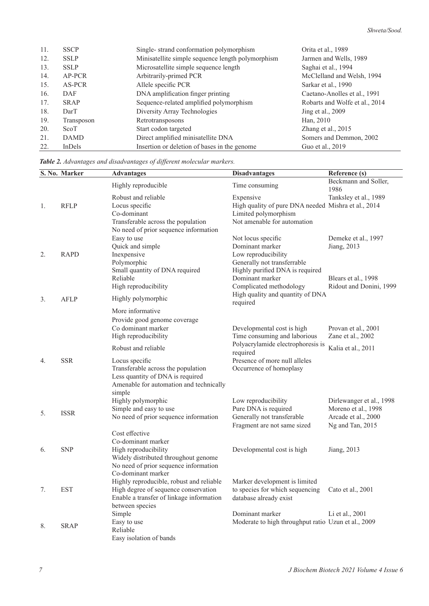| 11. | <b>SSCP</b> | Single-strand conformation polymorphism           | Orita et al., 1989             |
|-----|-------------|---------------------------------------------------|--------------------------------|
| 12. | <b>SSLP</b> | Minisatellite simple sequence length polymorphism | Jarmen and Wells, 1989         |
| 13. | <b>SSLP</b> | Microsatellite simple sequence length             | Saghai et al., 1994            |
| 14. | AP-PCR      | Arbitrarily-primed PCR                            | McClelland and Welsh, 1994     |
| 15. | AS-PCR      | Allele specific PCR                               | Sarkar et al., 1990            |
| 16. | DAF         | DNA amplification finger printing                 | Caetano-Anolles et al., 1991   |
| 17. | <b>SRAP</b> | Sequence-related amplified polymorphism           | Robarts and Wolfe et al., 2014 |
| 18. | DarT        | Diversity Array Technologies                      | Jing et al., 2009              |
| 19. | Transposon  | Retrotransposons                                  | Han, 2010                      |
| 20. | ScoT        | Start codon targeted                              | Zhang et al., 2015             |
| 21. | <b>DAMD</b> | Direct amplified minisatellite DNA                | Somers and Demmon, 2002        |
| 22. | InDels      | Insertion or deletion of bases in the genome      | Guo et al., 2019               |

*Table 2. Advantages and disadvantages of different molecular markers.*

|    | S. No. Marker | <b>Advantages</b>                        | <b>Disadvantages</b>                                | Reference (s)                |
|----|---------------|------------------------------------------|-----------------------------------------------------|------------------------------|
|    |               | Highly reproducible                      | Time consuming                                      | Beckmann and Soller,<br>1986 |
|    |               | Robust and reliable                      | Expensive                                           | Tanksley et al., 1989        |
| 1. | <b>RFLP</b>   | Locus specific                           | High quality of pure DNA needed Mishra et al., 2014 |                              |
|    |               | Co-dominant                              | Limited polymorphism                                |                              |
|    |               | Transferable across the population       | Not amenable for automation                         |                              |
|    |               | No need of prior sequence information    |                                                     |                              |
|    |               | Easy to use                              | Not locus specific                                  | Demeke et al., 1997          |
|    |               | Quick and simple                         | Dominant marker                                     | Jiang, 2013                  |
| 2. | <b>RAPD</b>   | Inexpensive                              | Low reproducibility                                 |                              |
|    |               | Polymorphic                              | Generally not transferrable                         |                              |
|    |               | Small quantity of DNA required           | Highly purified DNA is required                     |                              |
|    |               | Reliable                                 | Dominant marker                                     | Blears et al., 1998          |
|    |               | High reproducibility                     | Complicated methodology                             | Ridout and Donini, 1999      |
| 3. | <b>AFLP</b>   | Highly polymorphic                       | High quality and quantity of DNA<br>required        |                              |
|    |               | More informative                         |                                                     |                              |
|    |               | Provide good genome coverage             |                                                     |                              |
|    |               | Co dominant marker                       | Developmental cost is high                          | Provan et al., 2001          |
|    |               | High reproducibility                     | Time consuming and laborious                        | Zane et al., 2002            |
|    |               | Robust and reliable                      | Polyacrylamide electrophoresis is<br>required       | Kalia et al., 2011           |
| 4. | <b>SSR</b>    | Locus specific                           | Presence of more null alleles                       |                              |
|    |               | Transferable across the population       | Occurrence of homoplasy                             |                              |
|    |               | Less quantity of DNA is required         |                                                     |                              |
|    |               | Amenable for automation and technically  |                                                     |                              |
|    |               | simple                                   |                                                     |                              |
|    |               | Highly polymorphic                       | Low reproducibility                                 | Dirlewanger et al., 1998     |
| 5. | <b>ISSR</b>   | Simple and easy to use                   | Pure DNA is required                                | Moreno et al., 1998          |
|    |               | No need of prior sequence information    | Generally not transferable                          | Arcade et al., 2000          |
|    |               |                                          | Fragment are not same sized                         | $Ng$ and Tan, 2015           |
|    |               | Cost effective                           |                                                     |                              |
|    |               | Co-dominant marker                       |                                                     |                              |
| 6. | <b>SNP</b>    | High reproducibility                     | Developmental cost is high                          | Jiang, 2013                  |
|    |               | Widely distributed throughout genome     |                                                     |                              |
|    |               | No need of prior sequence information    |                                                     |                              |
|    |               | Co-dominant marker                       |                                                     |                              |
|    |               | Highly reproducible, robust and reliable | Marker development is limited                       |                              |
| 7. | <b>EST</b>    | High degree of sequence conservation     | to species for which sequencing                     | Cato et al., 2001            |
|    |               | Enable a transfer of linkage information | database already exist                              |                              |
|    |               | between species                          |                                                     |                              |
|    |               | Simple                                   | Dominant marker                                     | Li et al., 2001              |
| 8. | <b>SRAP</b>   | Easy to use                              | Moderate to high throughput ratio Uzun et al., 2009 |                              |
|    |               | Easy isolation of bands                  |                                                     |                              |
|    |               | Reliable                                 |                                                     |                              |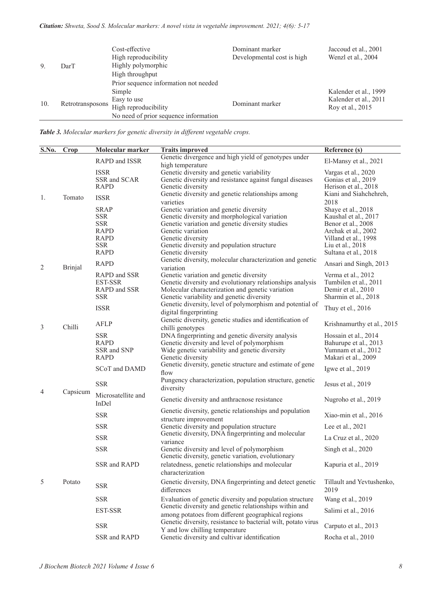| 9.  | DarT             | Cost-effective<br>High reproducibility<br>Highly polymorphic<br>High throughput<br>Prior sequence information not needed | Dominant marker<br>Developmental cost is high | Jaccoud et al., 2001<br>Wenzl et al., 2004                         |
|-----|------------------|--------------------------------------------------------------------------------------------------------------------------|-----------------------------------------------|--------------------------------------------------------------------|
| 10. | Retrotransposons | Simple<br>Easy to use<br>High reproducibility<br>No need of prior sequence information                                   | Dominant marker                               | Kalender et al., 1999<br>Kalender et al., 2011<br>Roy et al., 2015 |

*Table 3. Molecular markers for genetic diversity in different vegetable crops.*

| S.No. | $\overline{\text{Crop}}$ | Molecular marker            | <b>Traits improved</b>                                                                                             | Reference (s)                              |
|-------|--------------------------|-----------------------------|--------------------------------------------------------------------------------------------------------------------|--------------------------------------------|
|       |                          | RAPD and ISSR               | Genetic divergence and high yield of genotypes under                                                               | El-Mansy et al., 2021                      |
|       |                          |                             | high temperature                                                                                                   |                                            |
|       |                          | <b>ISSR</b><br>SSR and SCAR | Genetic diversity and genetic variability<br>Genetic diversity and resistance against fungal diseases              | Vargas et al., 2020<br>Gonias et al., 2019 |
|       |                          | <b>RAPD</b>                 | Genetic diversity                                                                                                  | Herison et al., 2018                       |
|       |                          |                             | Genetic diversity and genetic relationships among                                                                  | Kiani and Siahchehreh,                     |
| 1.    | Tomato                   | <b>ISSR</b>                 | varieties                                                                                                          | 2018                                       |
|       |                          | <b>SRAP</b>                 | Genetic variation and genetic diversity                                                                            | Shaye et al., 2018                         |
|       |                          | <b>SSR</b>                  | Genetic diversity and morphological variation                                                                      | Kaushal et al., 2017                       |
|       |                          | <b>SSR</b>                  | Genetic variation and genetic diversity studies                                                                    | Benor et al., 2008                         |
|       |                          | RAPD                        | Genetic variation                                                                                                  | Archak et al., 2002                        |
|       |                          | RAPD<br><b>SSR</b>          | Genetic diversity<br>Genetic diversity and population structure                                                    | Villand et al., 1998                       |
|       |                          | <b>RAPD</b>                 | Genetic diversity                                                                                                  | Liu et al., 2018<br>Sultana et al., 2018   |
|       |                          |                             | Genetic diversity, molecular characterization and genetic                                                          |                                            |
| 2     | <b>Brinjal</b>           | <b>RAPD</b>                 | variation                                                                                                          | Ansari and Singh, 2013                     |
|       |                          | RAPD and SSR                | Genetic variation and genetic diversity                                                                            | Verma et al., 2012                         |
|       |                          | EST-SSR                     | Genetic diversity and evolutionary relationships analysis                                                          | Tumbilen et al., 2011                      |
|       |                          | RAPD and SSR                | Molecular characterization and genetic variation                                                                   | Demir et al., 2010                         |
|       |                          | <b>SSR</b>                  | Genetic variability and genetic diversity                                                                          | Sharmin et al., 2018                       |
|       |                          | <b>ISSR</b>                 | Genetic diversity, level of polymorphism and potential of                                                          | Thuy et el., 2016                          |
|       |                          |                             | digital fingerprinting                                                                                             |                                            |
| 3     | Chilli                   | <b>AFLP</b>                 | Genetic diversity, genetic studies and identification of                                                           | Krishnamurthy et al., 2015                 |
|       |                          | <b>SSR</b>                  | chilli genotypes<br>DNA fingerprinting and genetic diversity analysis                                              | Hossain et al., 2014                       |
|       |                          | <b>RAPD</b>                 | Genetic diversity and level of polymorphism                                                                        | Bahurupe et al., 2013                      |
|       |                          | SSR and SNP                 | Wide genetic variability and genetic diversity                                                                     | Yumnam et al., 2012                        |
|       |                          | <b>RAPD</b>                 | Genetic diversity                                                                                                  | Makari et al., 2009                        |
|       |                          | SCoT and DAMD               | Genetic diversity, genetic structure and estimate of gene                                                          |                                            |
|       |                          |                             | flow                                                                                                               | Igwe et al., 2019                          |
|       |                          | <b>SSR</b>                  | Pungency characterization, population structure, genetic                                                           | Jesus et al., 2019                         |
| 4     | Capsicum                 |                             | diversity                                                                                                          |                                            |
|       |                          | Microsatellite and          | Genetic diversity and anthracnose resistance                                                                       | Nugroho et al., 2019                       |
|       |                          | InDel                       |                                                                                                                    |                                            |
|       |                          | <b>SSR</b>                  | Genetic diversity, genetic relationships and population                                                            | Xiao-min et al., 2016                      |
|       |                          | <b>SSR</b>                  | structure improvement<br>Genetic diversity and population structure                                                | Lee et al., $2021$                         |
|       |                          | <b>SSR</b>                  | Genetic diversity, DNA fingerprinting and molecular                                                                |                                            |
|       |                          |                             | variance                                                                                                           | La Cruz et al., 2020                       |
|       |                          | <b>SSR</b>                  | Genetic diversity and level of polymorphism                                                                        | Singh et al., 2020                         |
|       |                          |                             | Genetic diversity, genetic variation, evolutionary                                                                 |                                            |
|       |                          | SSR and RAPD                | relatedness, genetic relationships and molecular                                                                   | Kapuria et al., 2019                       |
|       |                          |                             | characterization                                                                                                   |                                            |
| 5     | Potato                   | <b>SSR</b>                  | Genetic diversity, DNA fingerprinting and detect genetic                                                           | Tillault and Yevtushenko,                  |
|       |                          |                             | differences                                                                                                        | 2019                                       |
|       |                          | <b>SSR</b>                  | Evaluation of genetic diversity and population structure<br>Genetic diversity and genetic relationships within and | Wang et al., 2019                          |
|       |                          | <b>EST-SSR</b>              | among potatoes from different geographical regions                                                                 | Salimi et al., 2016                        |
|       |                          |                             | Genetic diversity, resistance to bacterial wilt, potato virus                                                      |                                            |
|       |                          | <b>SSR</b>                  | Y and low chilling temperature                                                                                     | Carputo et al., 2013                       |
|       |                          | SSR and RAPD                | Genetic diversity and cultivar identification                                                                      | Rocha et al., 2010                         |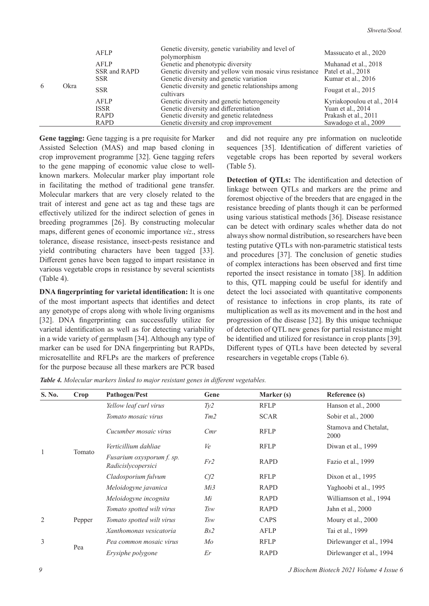|   |      | AFLP         | Genetic diversity, genetic variability and level of<br>polymorphism | Massucato et al., 2020     |
|---|------|--------------|---------------------------------------------------------------------|----------------------------|
|   |      | AFLP         | Genetic and phenotypic diversity                                    | Muhanad et al., 2018       |
|   |      | SSR and RAPD | Genetic diversity and yellow vein mosaic virus resistance           | Patel et al., 2018         |
|   | Okra | <b>SSR</b>   | Genetic diversity and genetic variation                             | Kumar et al., 2016         |
| 6 |      | <b>SSR</b>   | Genetic diversity and genetic relationships among<br>cultivars      | Fougat et al., 2015        |
|   |      | AFLP         | Genetic diversity and genetic heterogeneity                         | Kyriakopoulou et al., 2014 |
|   |      | <b>ISSR</b>  | Genetic diversity and differentiation                               | Yuan et al., 2014          |
|   |      | RAPD         | Genetic diversity and genetic relatedness                           | Prakash et al., 2011       |
|   |      | RAPD         | Genetic diversity and crop improvement                              | Sawadogo et al., 2009      |

**Gene tagging:** Gene tagging is a pre requisite for Marker Assisted Selection (MAS) and map based cloning in crop improvement programme [32]. Gene tagging refers to the gene mapping of economic value close to wellknown markers. Molecular marker play important role in facilitating the method of traditional gene transfer. Molecular markers that are very closely related to the trait of interest and gene act as tag and these tags are effectively utilized for the indirect selection of genes in breeding programmes [26]. By constructing molecular maps, different genes of economic importance *viz*., stress tolerance, disease resistance, insect-pests resistance and yield contributing characters have been tagged [33]. Different genes have been tagged to impart resistance in various vegetable crops in resistance by several scientists (Table 4).

**DNA fingerprinting for varietal identification:** It is one of the most important aspects that identifies and detect any genotype of crops along with whole living organisms [32]. DNA fingerprinting can successfully utilize for varietal identification as well as for detecting variability in a wide variety of germplasm [34]. Although any type of marker can be used for DNA fingerprinting but RAPDs, microsatellite and RFLPs are the markers of preference for the purpose because all these markers are PCR based

and did not require any pre information on nucleotide sequences [35]. Identification of different varieties of vegetable crops has been reported by several workers (Table 5).

**Detection of QTLs:** The identification and detection of linkage between QTLs and markers are the prime and foremost objective of the breeders that are engaged in the resistance breeding of plants though it can be performed using various statistical methods [36]. Disease resistance can be detect with ordinary scales whether data do not always show normal distribution, so researchers have been testing putative QTLs with non-parametric statistical tests and procedures [37]. The conclusion of genetic studies of complex interactions has been observed and first time reported the insect resistance in tomato [38]. In addition to this, QTL mapping could be useful for identify and detect the loci associated with quantitative components of resistance to infections in crop plants, its rate of multiplication as well as its movement and in the host and progression of the disease [32]. By this unique technique of detection of QTL new genes for partial resistance might be identified and utilized for resistance in crop plants [39]. Different types of QTLs have been detected by several researchers in vegetable crops (Table 6).

| Table 4. Molecular markers linked to major resistant genes in different vegetables. |  |  |
|-------------------------------------------------------------------------------------|--|--|
|-------------------------------------------------------------------------------------|--|--|

| S. No.         | Crop   | <b>Pathogen/Pest</b>                            | Gene | Marker (s)  | Reference (s)                 |
|----------------|--------|-------------------------------------------------|------|-------------|-------------------------------|
|                |        | Yellow leaf curl virus                          | Ty2  | <b>RFLP</b> | Hanson et al., 2000           |
|                |        | Tomato mosaic virus                             | Tm2  | <b>SCAR</b> | Sobir et al., 2000            |
|                |        | Cucumber mosaic virus                           | Cmr  | <b>RFLP</b> | Stamova and Chetalat,<br>2000 |
|                |        | Verticillium dahliae                            | Ve   | <b>RFLP</b> | Diwan et al., 1999            |
|                | Tomato | Fusarium oxysporum f. sp.<br>Radicislycopersici | Fr2  | RAPD        | Fazio et al., 1999            |
|                |        | Cladosporium fulvum                             | Cf2  | <b>RFLP</b> | Dixon et al., 1995            |
|                |        | Meloidogyne javanica                            | Mi3  | RAPD        | Yaghoobi et al., 1995         |
|                |        | Meloidogyne incognita                           | Mi   | RAPD        | Williamson et al., 1994       |
|                |        | Tomato spotted wilt virus                       | Tsw  | RAPD        | Jahn et al., 2000             |
| $\overline{2}$ | Pepper | Tomato spotted wilt virus                       | Tsw  | CAPS        | Moury et al., 2000            |
|                |        | Xanthomonas vesicatoria                         | Bs2  | AFLP        | Tai et al., 1999              |
| 3              |        | Pea common mosaic virus                         | Mo   | <b>RFLP</b> | Dirlewanger et al., 1994      |
|                | Pea    | Erysiphe polygone                               | Er   | RAPD        | Dirlewanger et al., 1994      |

*9 J Biochem Biotech 2021 Volume 4 Issue 6*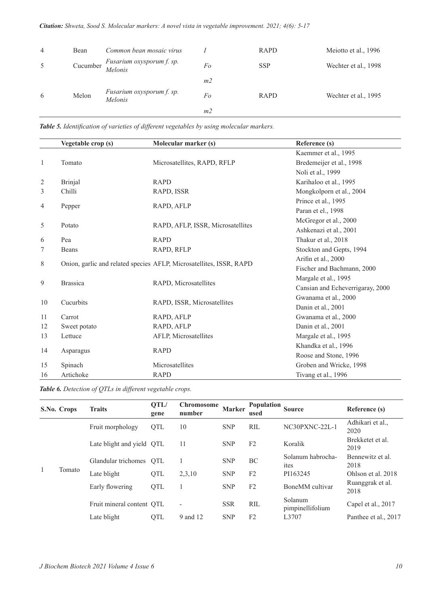| $\overline{4}$ | Bean     | Common bean mosaic virus             |                | RAPD        | Meiotto et al., 1996 |
|----------------|----------|--------------------------------------|----------------|-------------|----------------------|
| 5              | Cucumber | Fusarium oxysporum f. sp.<br>Melonis | Fo             | <b>SSP</b>  | Wechter et al., 1998 |
|                |          |                                      | m <sub>2</sub> |             |                      |
| 6              | Melon    | Fusarium oxysporum f. sp.<br>Melonis | Fo             | <b>RAPD</b> | Wechter et al., 1995 |
|                |          |                                      | m <sub>2</sub> |             |                      |

*Table 5. Identification of varieties of different vegetables by using molecular markers.*

|                | Vegetable crop (s) | Molecular marker (s)                                                | Reference (s)                    |
|----------------|--------------------|---------------------------------------------------------------------|----------------------------------|
|                |                    |                                                                     | Kaemmer et al., 1995             |
| 1              | Tomato             | Microsatellites, RAPD, RFLP                                         | Bredemeijer et al., 1998         |
|                |                    |                                                                     | Noli et al., 1999                |
| $\overline{2}$ | <b>Brinjal</b>     | <b>RAPD</b>                                                         | Karihaloo et al., 1995           |
| 3              | Chilli             | RAPD, ISSR                                                          | Mongkolporn et al., 2004         |
| 4              |                    | RAPD, AFLP                                                          | Prince et al., 1995              |
|                | Pepper             |                                                                     | Paran et el., 1998               |
| 5              | Potato             | RAPD, AFLP, ISSR, Microsatellites                                   | McGregor et al., 2000            |
|                |                    |                                                                     | Ashkenazi et al., 2001           |
| 6              | Pea                | <b>RAPD</b>                                                         | Thakur et al., 2018              |
| 7              | Beans              | RAPD, RFLP                                                          | Stockton and Gepts, 1994         |
| 8              |                    | Onion, garlic and related species AFLP, Microsatellites, ISSR, RAPD | Arifin et al., 2000              |
|                |                    |                                                                     | Fischer and Bachmann, 2000       |
| 9              | <b>Brassica</b>    | RAPD, Microsatellites                                               | Margale et al., 1995             |
|                |                    |                                                                     | Cansian and Echeverrigaray, 2000 |
| 10             | Cucurbits          | RAPD, ISSR, Microsatellites                                         | Gwanama et al., 2000             |
|                |                    |                                                                     | Danin et al., 2001               |
| 11             | Carrot             | RAPD, AFLP                                                          | Gwanama et al., 2000             |
| 12             | Sweet potato       | RAPD, AFLP                                                          | Danin et al., 2001               |
| 13             | Lettuce            | AFLP, Microsatellites                                               | Margale et al., 1995             |
| 14             | Asparagus          | <b>RAPD</b>                                                         | Khandka et al., 1996             |
|                |                    |                                                                     | Roose and Stone, 1996            |
| 15             | Spinach            | Microsatellites                                                     | Groben and Wricke, 1998          |
| 16             | Artichoke          | <b>RAPD</b>                                                         | Tivang et al., 1996              |

*Table 6. Detection of QTLs in different vegetable crops.*

|   | S.No. Crops | <b>Traits</b>             | QTL/<br>gene | <b>Chromosome</b><br>number | <b>Marker</b> | <b>Population</b><br>used | <b>Source</b>               | Reference (s)            |
|---|-------------|---------------------------|--------------|-----------------------------|---------------|---------------------------|-----------------------------|--------------------------|
|   |             | Fruit morphology          | QTL          | 10                          | <b>SNP</b>    | <b>RIL</b>                | NC30PXNC-22L-1              | Adhikari et al.,<br>2020 |
|   |             | Late blight and yield OTL |              | 11                          | <b>SNP</b>    | F <sub>2</sub>            | Koralik                     | Brekketet et al.<br>2019 |
|   |             | Glandular trichomes       | <b>OTL</b>   |                             | <b>SNP</b>    | BC                        | Solanum habrocha-<br>ites   | Bennewitz et al.<br>2018 |
| 1 | Tomato      | Late blight               | <b>OTL</b>   | 2,3,10                      | <b>SNP</b>    | F <sub>2</sub>            | PI163245                    | Ohlson et al. 2018       |
|   |             | Early flowering           | QTL          |                             | <b>SNP</b>    | F <sub>2</sub>            | BoneMM cultivar             | Ruanggrak et al.<br>2018 |
|   |             | Fruit mineral content OTL |              | $\overline{\phantom{a}}$    | <b>SSR</b>    | <b>RIL</b>                | Solanum<br>pimpinellifolium | Capel et al., 2017       |
|   |             | Late blight               | <b>OTL</b>   | 9 and 12                    | <b>SNP</b>    | F <sub>2</sub>            | L3707                       | Panthee et al., 2017     |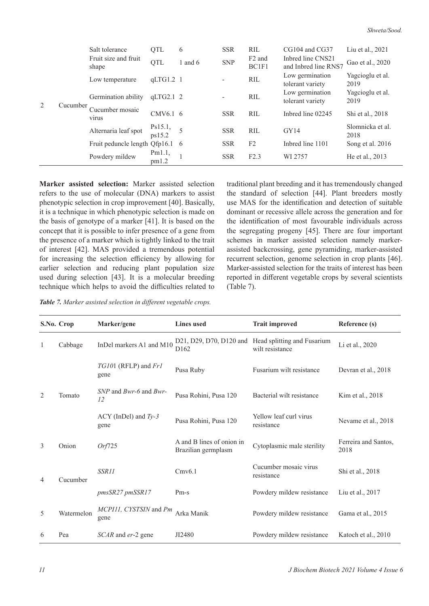|                |          | Salt tolerance                  | QTL               | 6         | <b>SSR</b>               | RIL                         | CG104 and CG37                            | Liu et al., 2021         |
|----------------|----------|---------------------------------|-------------------|-----------|--------------------------|-----------------------------|-------------------------------------------|--------------------------|
| $\overline{2}$ |          | Fruit size and fruit<br>shape   | QTL               | 1 and $6$ | <b>SNP</b>               | F <sub>2</sub> and<br>BC1F1 | Inbred line CNS21<br>and Inbred line RNS7 | Gao et al., 2020         |
|                |          | Low temperature                 | $qLTG1.2$ 1       |           | $\overline{\phantom{a}}$ | RIL                         | Low germination<br>tolerant variety       | Yagcioglu et al.<br>2019 |
|                |          | Germination ability             | qLTG2.12          |           | $\overline{\phantom{a}}$ | <b>RIL</b>                  | Low germination<br>tolerant variety       | Yagcioglu et al.<br>2019 |
|                | Cucumber | Cucumber mosaic<br>virus        | CMV6.1 6          |           | <b>SSR</b>               | <b>RIL</b>                  | Inbred line 02245                         | Shi et al., 2018         |
|                |          | Alternaria leaf spot            | Ps15.1,<br>ps15.2 | 5         | <b>SSR</b>               | <b>RIL</b>                  | GY14                                      | Slomnicka et al.<br>2018 |
|                |          | Fruit peduncle length Qfp16.1 6 |                   |           | <b>SSR</b>               | F <sub>2</sub>              | Inbred line 1101                          | Song et al. 2016         |
|                |          | Powdery mildew                  | Pm1.1,<br>pm1.2   |           | <b>SSR</b>               | F2.3                        | WI 2757                                   | He et al., 2013          |

**Marker assisted selection:** Marker assisted selection refers to the use of molecular (DNA) markers to assist phenotypic selection in crop improvement [40]. Basically, it is a technique in which phenotypic selection is made on the basis of genotype of a marker [41]. It is based on the concept that it is possible to infer presence of a gene from the presence of a marker which is tightly linked to the trait of interest [42]. MAS provided a tremendous potential for increasing the selection efficiency by allowing for earlier selection and reducing plant population size used during selection [43]. It is a molecular breeding technique which helps to avoid the difficulties related to traditional plant breeding and it has tremendously changed the standard of selection [44]. Plant breeders mostly use MAS for the identification and detection of suitable dominant or recessive allele across the generation and for the identification of most favourable individuals across the segregating progeny [45]. There are four important schemes in marker assisted selection namely markerassisted backcrossing, gene pyramiding, marker-assisted recurrent selection, genome selection in crop plants [46]. Marker-assisted selection for the traits of interest has been reported in different vegetable crops by several scientists (Table 7).

*Table 7. Marker assisted selection in different vegetable crops.*

|   | S.No. Crop | Marker/gene                                  | <b>Lines</b> used                                | <b>Trait improved</b>                                                  | Reference (s)                |
|---|------------|----------------------------------------------|--------------------------------------------------|------------------------------------------------------------------------|------------------------------|
| 1 | Cabbage    | InDel markers A1 and M10                     | D <sub>162</sub>                                 | D21, D29, D70, D120 and Head splitting and Fusarium<br>wilt resistance | Li et al., 2020              |
| 2 | Tomato     | TG101 (RFLP) and Fr1<br>gene                 | Pusa Ruby                                        | Fusarium wilt resistance                                               | Devran et al., 2018          |
|   |            | $SNP$ and <i>Bwr-6</i> and <i>Bwr-</i><br>12 | Pusa Rohini, Pusa 120                            | Bacterial wilt resistance                                              | Kim et al., 2018             |
|   |            | $ACY$ (InDel) and $Ty-3$<br>gene             | Pusa Rohini, Pusa 120                            | Yellow leaf curl virus<br>resistance                                   | Nevame et al., 2018          |
| 3 | Onion      | Orf725                                       | A and B lines of onion in<br>Brazilian germplasm | Cytoplasmic male sterility                                             | Ferreira and Santos,<br>2018 |
| 4 | Cucumber   | SSR11                                        | Cmv6.1                                           | Cucumber mosaic virus<br>resistance                                    | Shi et al., 2018             |
|   |            | pmsSR27 pmSSR17                              | $Pm-s$                                           | Powdery mildew resistance                                              | Liu et al., 2017             |
| 5 | Watermelon | MCPIII, CYSTSIN and Pm<br>gene               | Arka Manik                                       | Powdery mildew resistance                                              | Gama et al., 2015            |
| 6 | Pea        | SCAR and er-2 gene                           | JI2480                                           | Powdery mildew resistance                                              | Katoch et al., 2010          |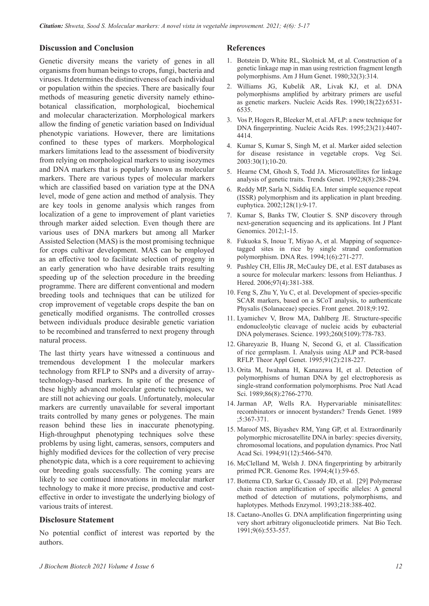### **Discussion and Conclusion**

Genetic diversity means the variety of genes in all organisms from human beings to crops, fungi, bacteria and viruses. It determines the distinctiveness of each individual or population within the species. There are basically four methods of measuring genetic diversity namely ethinobotanical classification, morphological, biochemical and molecular characterization. Morphological markers allow the finding of genetic variation based on Individual phenotypic variations. However, there are limitations confined to these types of markers. Morphological markers limitations lead to the assessment of biodiversity from relying on morphological markers to using isozymes and DNA markers that is popularly known as molecular markers. There are various types of molecular markers which are classified based on variation type at the DNA level, mode of gene action and method of analysis. They are key tools in genome analysis which ranges from localization of a gene to improvement of plant varieties through marker aided selection. Even though there are various uses of DNA markers but among all Marker Assisted Selection (MAS) is the most promising technique for crops cultivar development. MAS can be employed as an effective tool to facilitate selection of progeny in an early generation who have desirable traits resulting speeding up of the selection procedure in the breeding programme. There are different conventional and modern breeding tools and techniques that can be utilized for crop improvement of vegetable crops despite the ban on genetically modified organisms. The controlled crosses between individuals produce desirable genetic variation to be recombined and transferred to next progeny through natural process.

The last thirty years have witnessed a continuous and tremendous development I the molecular markers technology from RFLP to SNPs and a diversity of arraytechnology-based markers. In spite of the presence of these highly advanced molecular genetic techniques, we are still not achieving our goals. Unfortunately, molecular markers are currently unavailable for several important traits controlled by many genes or polygenes. The main reason behind these lies in inaccurate phenotyping. High-throughput phenotyping techniques solve these problems by using light, cameras, sensors, computers and highly modified devices for the collection of very precise phenotypic data, which is a core requirement to achieving our breeding goals successfully. The coming years are likely to see continued innovations in molecular marker technology to make it more precise, productive and costeffective in order to investigate the underlying biology of various traits of interest.

### **Disclosure Statement**

No potential conflict of interest was reported by the authors.

#### **References**

- 1. Botstein D, White RL, Skolnick M, et al. Construction of a [genetic linkage map in man using restriction fragment length](https://doi.org/10.1093/nar/18.22.6531)  polymorphisms. Am J Hum Genet. 1980;32(3):314.
- 2. Williams JG, Kubelik AR, Livak KJ, et al. DNA [polymorphisms amplified by arbitrary primers are useful](https://doi.org/10.1093/nar/23.21.4407)  as genetic markers. Nucleic Acids Res. 1990;18(22):6531- 6535.
- 3. Vos P, Hogers R, Bleeker M, et al. AFLP: a new technique for DNA fingerprinting. Nucleic Acids Res. 1995;23(21):4407- 4414.
- 4. Kumar S, Kumar S, Singh M, et al. Marker aided selection for disease resistance in vegetable crops. Veg Sci. 2003:30(1);10-20.
- 5. [Hearne CM, Ghosh S, Todd JA. Microsatellites for linkage](https://doi.org/10.1016/0168-9525(92)90256-4)  analysis of genetic traits. Trends Genet. 1992;8(8):288-294.
- 6. Reddy MP, Sarla N, Siddiq EA. Inter simple sequence repeat [\(ISSR\) polymorphism and its application in plant breeding.](https://doi.org/10.1023/a:1020691618797)  euphytica. 2002;128(1):9-17.
- 7. Kumar S, Banks TW, Cloutier S. SNP discovery through [next-generation sequencing and its applications. Int J Plant](https://doi.org/10.1155/2012/831460)  Genomics. 2012;1-15.
- 8. Fukuoka S, Inoue T, Miyao A, et al. Mapping of sequence[tagged sites in rice by single strand conformation](https://doi.org/10.1093/dnares/1.6.271)  polymorphism. DNA Res. 1994;1(6):271-277.
- 9. [Pashley CH, Ellis JR, McCauley DE, et al. EST databases as](https://doi.org/10.1093/jhered/esl013)  a source for molecular markers: lessons from Helianthus. J Hered. 2006;97(4):381-388.
- 10. [Feng S, Zhu Y, Yu C, et al. Development of species-specific](https://doi.org/10.3389/fgene.2018.00192)  SCAR markers, based on a SCoT analysis, to authenticate Physalis (Solanaceae) species. Front genet. 2018;9:192.
- 11. [Lyamichev V, Brow MA, Dahlberg JE. Structure-specific](https://doi.org/10.1126/science.7683443)  endonucleolytic cleavage of nucleic acids by eubacterial DNA polymerases. Science. 1993;260(5109):778-783.
- 12. Ghareyazie B, Huang N, Second G, et al. Classification [of rice germplasm. I. Analysis using ALP and PCR-based](https://doi.org/10.1007/bf00220881)  RFLP. Theor Appl Genet. 1995;91(2):218-227.
- 13. Orita M, Iwahana H, Kanazawa H, et al. Detection of [polymorphisms of human DNA by gel electrophoresis as](https://doi.org/10.1073/pnas.86.8.2766)  single-strand conformation polymorphisms. Proc Natl Acad Sci. 1989;86(8):2766-2770.
- 14. [Jarman AP, Wells RA. Hypervariable minisatellites:](https://doi.org/10.1016/0168-9525(89)90171-6)  recombinators or innocent bystanders? Trends Genet. 1989 ;5:367-371.
- 15. Maroof MS, Biyashev RM, Yang GP, et al. Extraordinarily [polymorphic microsatellite DNA in barley: species diversity,](https://doi.org/10.1073/pnas.91.12.5466)  chromosomal locations, and population dynamics. Proc Natl Acad Sci. 1994;91(12):5466-5470.
- 16. [McClelland M, Welsh J. DNA fingerprinting by arbitrarily](https://doi.org/10.1101/gr.4.1.s59)  primed PCR. Genome Res. 1994;4(1):59-65.
- 17. [Bottema CD, Sarkar G, Cassady JD, et al. \[29\] Polymerase](https://doi.org/10.1016/0076-6879(93)18031-7)  chain reaction amplification of specific alleles: A general method of detection of mutations, polymorphisms, and haplotypes. Methods Enzymol. 1993;218:388-402.
- 18. [Caetano-Anolles G. DNA amplification fingerprinting using](https://doi.org/10.1038/nbt0691-553)  very short arbitrary oligonucleotide primers. Nat Bio Tech. 1991;9(6):553-557.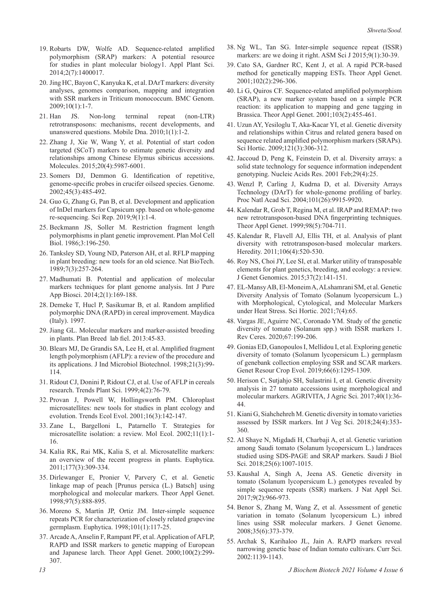- 19. Robarts DW, Wolfe AD. Sequence-related amplified polymorphism (SRAP) markers: A potential resource [for studies in plant molecular biology1. Appl Plant Sci.](https://doi.org/10.3732/apps.1400017)  2014;2(7):1400017.
- 20. Jing HC, Bayon C, Kanyuka K, et al. DArT markers: diversity [analyses, genomes comparison, mapping and integration](https://doi.org/10.1186/1471-2164-10-458)  with SSR markers in Triticum monococcum. BMC Genom. 2009;10(1):1-7.
- 21. [Han JS. Non-long terminal repeat \(non-LTR\)](https://doi.org/10.1186/1759-8753-1-15)  retrotransposons: mechanisms, recent developments, and unanswered questions. Mobile Dna. 2010;1(1):1-2.
- 22. [Zhang J, Xie W, Wang Y, et al. Potential of start codon](https://doi.org/10.3390/molecules20045987)  targeted (SCoT) markers to estimate genetic diversity and relationships among Chinese Elymus sibiricus accessions. Molecules. 2015;20(4):5987-6001.
- 23. [Somers DJ, Demmon G. Identification of repetitive,](https://doi.org/10.1139/g02-006)  genome-specific probes in crucifer oilseed species. Genome. 2002;45(3):485-492.
- 24. Guo G, Zhang G, Pan B, et al. Development and application [of InDel markers for Capsicum spp. based on whole-genome](https://doi.org/10.1038/s41598-019-40244-y)  re-sequencing. Sci Rep. 2019;9(1):1-4.
- 25. Beckmann JS, Soller M. Restriction fragment length polymorphisms in plant genetic improvement. Plan Mol Cell Biol. 1986;3:196-250.
- 26. Tanksley SD, Young ND, Paterson AH, et al. RFLP mapping [in plant breeding: new tools for an old science. Nat BioTech.](https://doi.org/10.1038/nbt0389-257)  1989;7(3):257-264.
- 27. Madhumati B. Potential and application of molecular markers techniques for plant genome analysis. Int J Pure App Biosci. 2014;2(1):169-188.
- 28. Demeke T, Hucl P, Sasikumar B, et al. Random amplified polymorphic DNA (RAPD) in cereal improvement. Maydica (Italy). 1997.
- 29. [Jiang GL. Molecular markers and marker-assisted breeding](https://doi.org/10.5772/52583) in plants. Plan Breed lab fiel. 2013:45-83.
- 30. [Blears MJ, De Grandis SA, Lee H, et al. Amplified fragment](https://doi.org/10.1038/sj.jim.2900537)  length polymorphism (AFLP): a review of the procedure and its applications. J Ind Microbiol Biotechnol. 1998;21(3):99- 114.
- 31. [Ridout CJ, Donini P, Ridout CJ, et al. Use of AFLP in cereals](https://doi.org/10.1016/s1360-1385(98)01363-6)  research. Trends Plant Sci. 1999;4(2):76-79.
- 32. Provan J, Powell W, Hollingsworth PM. Chloroplast [microsatellites: new tools for studies in plant ecology and](https://doi.org/10.1016/s0169-5347(00)02097-8)  evolution. Trends Ecol Evol. 2001;16(3):142-147.
- 33. [Zane L, Bargelloni L, Patarnello T. Strategies for](https://doi.org/10.1016/s0169-5347(00)02097-8)  microsatellite isolation: a review. Mol Ecol. 2002;11(1):1- 16.
- 34. Kalia RK, Rai MK, Kalia S, et al. Microsatellite markers: [an overview of the recent progress in plants. Euphytica.](https://doi.org/10.1046/j.0962-1083.2001.01418.x)  2011;177(3):309-334.
- 35. [Dirlewanger E, Pronier V, Parvery C, et al. Genetic](https://example.comhttps://doi.org/10.1007/s001220050969)  linkage map of peach [Prunus persica (L.) Batsch] using morphological and molecular markers. Theor Appl Genet. 1998;97(5):888-895.
- 36. Moreno S, Martín JP, Ortiz JM. Inter-simple sequence repeats PCR for characterization of closely related grapevine germplasm. Euphytica. 1998;101(1):117-25.
- 37. [Arcade A, Anselin F, Rampant PF, et al. Application of AFLP,](https://example.comhttps://doi.org/10.1007/s001220050039)  RAPD and ISSR markers to genetic mapping of European and Japanese larch. Theor Appl Genet. 2000;100(2):299- 307.
- 38. Ng WL, Tan SG. Inter-simple sequence repeat (ISSR) markers: are we doing it right. ASM Sci J 2015;9(1):30-39.
- 39. Cato SA, Gardner RC, Kent J, et al. A rapid PCR-based [method for genetically mapping ESTs. Theor Appl Genet.](https://example.comhttps://doi.org/10.1007/s001220051646)  2001;102(2):296-306.
- 40. Li G, Quiros CF. Sequence-related amplified polymorphism [\(SRAP\), a new marker system based on a simple PCR](https://example.comhttps://doi.org/10.1007/s001220100570)  reaction: its application to mapping and gene tagging in Brassica. Theor Appl Genet. 2001;103(2):455-461.
- 41. [Uzun AY, Yesiloglu T, Aka-Kacar YI, et al. Genetic diversity](https://example.comhttps://doi.org/10.1016/j.scienta.2009.02.018)  and relationships within Citrus and related genera based on sequence related amplified polymorphism markers (SRAPs). Sci Hortic. 2009;121(3):306-312.
- 42. Jaccoud D, Peng K, Feinstein D, et al. Diversity arrays: a [solid state technology for sequence information independent](https://example.comhttps://doi.org/10.1093/nar/29.4.e25)  genotyping. Nucleic Acids Res. 2001 Feb;29(4):25.
- 43. Wenzl P, Carling J, Kudrna D, et al. Diversity Arrays [Technology \(DArT\) for whole-genome profiling of barley.](https://example.comhttps://doi.org/10.1073/pnas.0401076101)  Proc Natl Acad Sci. 2004;101(26):9915-9920.
- 44. Kalendar R, Grob T, Regina M, et al. IRAP and REMAP: two [new retrotransposon-based DNA fingerprinting techniques.](https://example.comhttps://doi.org/10.1007/s001220051124)  Theor Appl Genet. 1999;98(5):704-711.
- 45. Kalendar R, Flavell AJ, Ellis TH, et al. Analysis of plant [diversity with retrotransposon-based molecular markers.](https://example.comhttps://doi.org/10.1038/hdy.2010.93)  Heredity. 2011;106(4):520-530.
- 46. Roy NS, Choi JY, Lee SI, et al. Marker utility of transposable [elements for plant genetics, breeding, and ecology: a review.](https://example.comhttps://doi.org/10.1007/s13258-014-0252-3)  J Genet Genomics. 2015;37(2):141-151.
- 47. [EL-Mansy AB, El-Moneim A, ALshamrani SM, et al. Genetic](https://example.comhttps://doi.org/10.3390/horticulturae7040065)  Diversity Analysis of Tomato (Solanum lycopersicum L.) with Morphological, Cytological, and Molecular Markers under Heat Stress. Sci Hortic. 2021;7(4):65.
- 48. [Vargas JE, Aguirre NC, Coronado YM. Study of the genetic](https://example.comhttps://doi.org/10.1590/0034-737x202067030005)  diversity of tomato (Solanum spp.) with ISSR markers 1. Rev Ceres. 2020;67:199-206.
- 49. Gonias ED, Ganopoulos I, Mellidou I, et al. Exploring genetic [diversity of tomato \(Solanum lycopersicum L.\) germplasm](https://example.comhttps://doi.org/10.1007/s10722-019-00786-6)  of genebank collection employing SSR and SCAR markers. Genet Resour Crop Evol. 2019;66(6):1295-1309.
- 50. [Herison C, Sutjahjo SH, Sulastrini I, et al. Genetic diversity](https://example.comhttps://doi.org/10.17503/agrivita.v40i1.726)  analysis in 27 tomato accessions using morphological and molecular markers. AGRIVITA, J Agric Sci. 2017;40(1):36- 44.
- 51. [Kiani G, Siahchehreh M. Genetic diversity in tomato varieties](https://example.comhttps://doi.org/10.1080/19315260.2017.1419397)  assessed by ISSR markers. Int J Veg Sci. 2018;24(4):353- 360.
- 52. [Al Shaye N, Migdadi H, Charbaji A, et al. Genetic variation](https://example.comhttps://doi.org/10.1016/j.sjbs.2018.04.014)  among Saudi tomato (Solanum lycopersicum L.) landraces studied using SDS-PAGE and SRAP markers. Saudi J Biol Sci. 2018;25(6):1007-1015.
- 53. Kaushal A, Singh A, Jeena AS. Genetic diversity in tomato (Solanum lycopersicum L.) genotypes revealed by [simple sequence repeats \(SSR\) markers. J Nat Appl Sci.](https://example.comhttps://doi.org/10.31018/jans.v9i2.1305)  2017;9(2):966-973.
- 54. Benor S, Zhang M, Wang Z, et al. Assessment of genetic variation in tomato (Solanum lycopersicum L.) inbred [lines using SSR molecular markers. J Genet Genome.](https://example.comhttps://doi.org/10.1016/s1673-8527(08)60054-5)  2008;35(6):373-379.
- 55. [Archak S, Karihaloo JL, Jain A. RAPD markers reveal](https://example.comhttps://doi.org/10.1080/14620316.2003.11511619)  narrowing genetic base of Indian tomato cultivars. Curr Sci. 2002:1139-1143.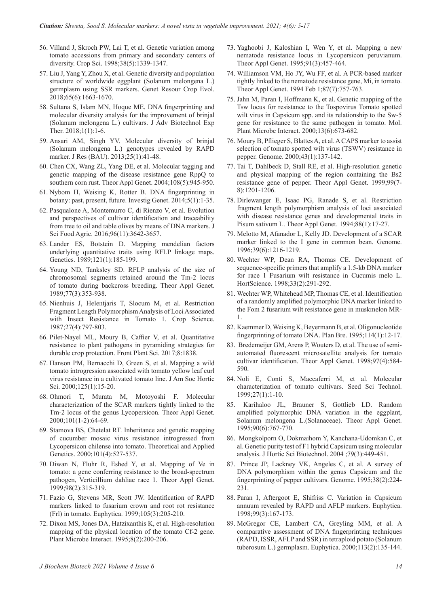- 56. Villand J, Skroch PW, Lai T, et al. Genetic variation among [tomato accessions from primary and secondary centers of](https://example.comhttps://doi.org/10.2135/cropsci1998.0011183x003800050032x)  diversity. Crop Sci. 1998;38(5):1339-1347.
- 57. Liu J, Yang Y, Zhou X, et al. Genetic diversity and population [structure of worldwide eggplant \(Solanum melongena L.\)](https://example.comhttps://doi.org/10.1007/s10722-018-0643-4)  germplasm using SSR markers. Genet Resour Crop Evol. 2018;65(6):1663-1670.
- 58. Sultana S, Islam MN, Hoque ME. DNA fingerprinting and [molecular diversity analysis for the improvement of brinjal](https://example.comhttps://doi.org/10.5455/jabet.d1)  (Solanum melongena L.) cultivars. J Adv Biotechnol Exp Ther. 2018;1(1):1-6.
- 59. Ansari AM, Singh YV. Molecular diversity of brinjal (Solanum melongena L.) genotypes revealed by RAPD marker. J Res (BAU). 2013;25(1):41-48.
- 60. Chen CX, Wang ZL, Yang DE, et al. Molecular tagging and [genetic mapping of the disease resistance gene RppQ to](https://example.comhttps://doi.org/10.1007/s00122-003-1506-7)  southern corn rust. Theor Appl Genet. 2004;108(5):945-950.
- 61. [Nybom H, Weising K, Rotter B. DNA fingerprinting in](https://example.comhttps://doi.org/10.1186/2041-2223-5-1)  botany: past, present, future. Investig Genet. 2014;5(1):1-35.
- 62. Pasqualone A, Montemurro C, di Rienzo V, et al. Evolution [and perspectives of cultivar identification and traceability](https://example.comhttps://doi.org/10.1002/jsfa.7711)  from tree to oil and table olives by means of DNA markers. J Sci Food Agric. 2016;96(11):3642-3657.
- 63. Lander ES, Botstein D. Mapping mendelian factors [underlying quantitative traits using RFLP linkage maps.](https://example.comhttps://doi.org/10.1093/genetics/121.1.185)  Genetics. 1989;121(1):185-199.
- 64. Young ND, Tanksley SD. RFLP analysis of the size of chromosomal segments retained around the Tm-2 locus [of tomato during backcross breeding. Theor Appl Genet.](https://example.comhttps://doi.org/10.1007/bf00305828)  1989;77(3):353-938.
- 65. Nienhuis J, Helentjaris T, Slocum M, et al. Restriction Fragment Length Polymorphism Analysis of Loci Associated [with Insect Resistance in Tomato 1. Crop Science.](https://example.comhttps://doi.org/10.2135/cropsci1987.0011183x002700040039x)  1987;27(4):797-803.
- 66. Pilet-Nayel ML, Moury B, Caffier V, et al. Quantitative resistance to plant pathogens in pyramiding strategies for durable crop protection. Front Plant Sci. 2017;8:1838.
- 67. Hanson PM, Bernacchi D, Green S, et al. Mapping a wild [tomato introgression associated with tomato yellow leaf curl](https://example.comhttps://doi.org/10.21273/jashs.125.1.15)  virus resistance in a cultivated tomato line. J Am Soc Hortic Sci. 2000;125(1):15-20.
- 68. Ohmori T, Murata M, Motoyoshi F. Molecular [characterization of the SCAR markers tightly linked to the](https://example.comhttps://doi.org/10.1007/s001220051450)  Tm-2 locus of the genus Lycopersicon. Theor Appl Genet. 2000;101(1-2):64-69.
- 69. Stamova BS, Chetelat RT. Inheritance and genetic mapping [of cucumber mosaic virus resistance introgressed from](https://example.comhttps://doi.org/10.1007/s001220051512)  Lycopersicon chilense into tomato. Theoretical and Applied Genetics. 2000;101(4):527-537.
- 70. Diwan N, Fluhr R, Eshed Y, et al. Mapping of Ve in [tomato: a gene conferring resistance to the broad-spectrum](https://example.comhttps://doi.org/10.1007/s001220051075)  pathogen, Verticillium dahliae race 1. Theor Appl Genet. 1999;98(2):315-319.
- 71. Fazio G, Stevens MR, Scott JW. Identification of RAPD markers linked to fusarium crown and root rot resistance (Frl) in tomato. Euphytica. 1999;105(3):205-210.
- 72. Dixon MS, Jones DA, Hatzixanthis K, et al. High-resolution [mapping of the physical location of the tomato Cf-2 gene.](https://example.comhttps://doi.org/10.1094/mpmi-8-0200)  Plant Microbe Interact. 1995;8(2):200-206.
- 73. Yaghoobi J, Kaloshian I, Wen Y, et al. Mapping a new [nematode resistance locus in Lycopersicon peruvianum.](https://example.comhttps://doi.org/10.1007/bf00222973)  Theor Appl Genet. 1995;91(3):457-464.
- 74. Williamson VM, Ho JY, Wu FF, et al. A PCR-based marker [tightly linked to the nematode resistance gene, Mi, in tomato.](https://example.comhttps://doi.org/10.1007/bf00221126)  Theor Appl Genet. 1994 Feb 1;87(7):757-763.
- 75. Jahn M, Paran I, Hoffmann K, et al. Genetic mapping of the Tsw locus for resistance to the Tospovirus Tomato spotted wilt virus in Capsicum spp. and its relationship to the Sw-5 gene for resistance to the same pathogen in tomato. Mol. Plant Microbe Interact. 2000;13(6):673-682.
- 76. Moury B, Pflieger S, Blattes A, et al. A CAPS marker to assist [selection of tomato spotted wilt virus \(TSWV\) resistance in](https://example.comhttps://doi.org/10.1139/g99-098)  pepper. Genome. 2000;43(1):137-142.
- 77. Tai T, Dahlbeck D, Stall RE, et al. High-resolution genetic [and physical mapping of the region containing the Bs2](https://example.comhttps://doi.org/10.1007/s001220051325)  resistance gene of pepper. Theor Appl Genet. 1999;99(7- 8):1201-1206.
- 78. [Dirlewanger E, Isaac PG, Ranade S, et al. Restriction](https://example.comhttps://doi.org/10.1007/bf00222388)  fragment length polymorphism analysis of loci associated with disease resistance genes and developmental traits in Pisum sativum L. Theor Appl Genet. 1994;88(1):17-27.
- 79. Melotto M, Afanador L, Kelly JD. Development of a SCAR [marker linked to the I gene in common bean. Genome.](https://example.comhttps://doi.org/10.1139/g96-155)  1996;39(6):1216-1219.
- 80. Wechter WP, Dean RA, Thomas CE. Development of sequence-specific primers that amplify a 1.5-kb DNA marker [for race 1 Fusarium wilt resistance in Cucumis melo L.](https://example.comhttps://doi.org/10.21273/hortsci.33.2.291)  HortScience. 1998;33(2):291-292.
- 81. Wechter WP, Whitehead MP, Thomas CE, et al. Identification of a randomly amplified polymorphic DNA marker linked to the Fom 2 fusarium wilt resistance gene in muskmelon MR-1.
- 82. [Kaemmer D, Weising K, Beyermann B, et al. Oligonucleotide](https://example.comhttps://doi.org/10.1111/j.1439-0523.1995.tb00751.x)  fingerprinting of tomato DNA. Plan Bre. 1995;114(1):12-17.
- 83. Bredemeijer GM, Arens P, Wouters D, et al. The use of semi[automated fluorescent microsatellite analysis for tomato](https://example.comhttps://doi.org/10.1007/s001220050934)  cultivar identification. Theor Appl Genet. 1998;97(4):584- 590.
- 84. Noli E, Conti S, Maccaferri M, et al. Molecular characterization of tomato cultivars. Seed Sci Technol. 1999;27(1):1-10.
- 8[5. Karihaloo JL, Brauner S, Gottlieb LD. Random](https://example.comhttps://doi.org/10.1007/bf00222010)  amplified polymorphic DNA variation in the eggplant, Solanum melongena L.(Solanaceae). Theor Appl Genet. 1995;90(6):767-770.
- 86[. Mongkolporn O, Dokmaihom Y, Kanchana-Udomkan C, et](https://example.comhttps://doi.org/10.1080/14620316.2004.11511788)  al. Genetic purity test of F1 hybrid Capsicum using molecular analysis. J Hortic Sci Biotechnol. 2004 ;79(3):449-451.
- 87. Prince JP, Lackney VK, Angeles C, et al. A survey of [DNA polymorphism within the genus Capsicum and the](https://example.comhttps://doi.org/10.1139/g95-027)  fingerprinting of pepper cultivars. Genome. 1995;38(2):224- 231.
- 88. [Paran I, Aftergoot E, Shifriss C. Variation in Capsicum](https://example.comhttps://doi.org/10.1023/a:1018301215945)  annuum revealed by RAPD and AFLP markers. Euphytica. 1998;99(3):167-173.
- 89. McGregor CE, Lambert CA, Greyling MM, et al. A [comparative assessment of DNA fingerprinting techniques](https://example.comhttps://doi.org/10.1023/a:1003925620546)  (RAPD, ISSR, AFLP and SSR) in tetraploid potato (Solanum tuberosum L.) germplasm. Euphytica. 2000;113(2):135-144.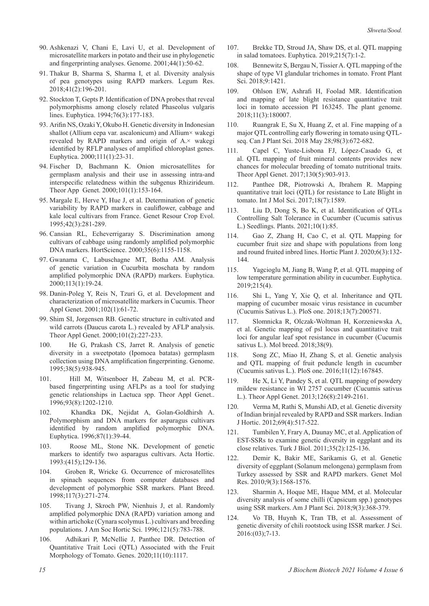- 90. Ashkenazi V, Chani E, Lavi U, et al. Development of [microsatellite markers in potato and their use in phylogenetic](https://example.comhttps://doi.org/10.1139/gen-44-1-50)  and fingerprinting analyses. Genome. 2001;44(1):50-62.
- 91. Thakur B, Sharma S, Sharma I, et al. Diversity analysis [of pea genotypes using RAPD markers. Legum Res.](https://example.comhttps://doi.org/10.18805/lr-3709)  2018;41(2):196-201.
- 92. Stockton T, Gepts P. Identification of DNA probes that reveal [polymorphisms among closely related Phaseolus vulgaris](https://example.comhttps://doi.org/10.1007/bf00022162)  lines. Euphytica. 1994;76(3):177-183.
- 93. Arifin NS, Ozaki Y, Okubo H. Genetic diversity in Indonesian shallot (Allium cepa var. ascalonicum) and Allium× wakegi revealed by RAPD markers and origin of A.× wakegi identified by RFLP analyses of amplified chloroplast genes. Euphytica. 2000;111(1):23-31.
- 94. Fischer D, Bachmann K. Onion microsatellites for [germplasm analysis and their use in assessing intra-and](https://example.comhttps://doi.org/10.1007/s001220051464)  interspecific relatedness within the subgenus Rhizirideum. Theor App Genet. 2000;101(1):153-164.
- 95. Margale E, Herve Y, Hue J, et al. Determination of genetic variability by RAPD markers in cauliflower, cabbage and [kale local cultivars from France. Genet Resour Crop Evol.](https://example.comhttps://doi.org/10.1007/bf02431263)  1995;42(3):281-289.
- 96. Cansian RL, Echeverrigaray S. Discrimination among [cultivars of cabbage using randomly amplified polymorphic](https://example.comhttps://doi.org/10.21273/hortsci.35.6.1155)  DNA markers. HortScience. 2000;35(6):1155-1158.
- 97. [Gwanama C, Labuschagne MT, Botha AM. Analysis](https://example.comhttps://doi.org/10.1023/a:1003936019095)  of genetic variation in Cucurbita moschata by random amplified polymorphic DNA (RAPD) markers. Euphytica. 2000;113(1):19-24.
- 98. Danin-Poleg Y, Reis N, Tzuri G, et al. Development and [characterization of microsatellite markers in Cucumis. Theor](https://example.comhttps://doi.org/10.1007/s001220051618)  Appl Genet. 2001;102(1):61-72.
- 99. Shim SI, Jorgensen RB. Genetic structure in cultivated and [wild carrots \(Daucus carota L.\) revealed by AFLP analysis.](https://example.comhttps://doi.org/10.1007/s001220051473)  Theor Appl Genet. 2000;101(2):227-233.
- 100. He G, Prakash CS, Jarret R. Analysis of genetic [diversity in a sweetpotato \(Ipomoea batatas\) germplasm](https://example.comhttps://doi.org/10.1139/g95-123)  collection using DNA amplification fingerprinting. Genome. 1995;38(5):938-945.
- 101. Hill M, Witsenboer H, Zabeau M, et al. PCRbased fingerprinting using AFLPs as a tool for studying [genetic relationships in Lactuca spp. Theor Appl Genet..](https://example.comhttps://doi.org/10.1007/bf00223451)  1996;93(8):1202-1210.
- 102. Khandka DK, Nejidat A, Golan-Goldhirsh A. [Polymorphism and DNA markers for asparagus cultivars](https://example.comhttps://doi.org/10.1007/bf00022962)  identified by random amplified polymorphic DNA. Euphytica. 1996;87(1):39-44.
- 103. Roose ML, Stone NK. Development of genetic [markers to identify two asparagus cultivars. Acta Hortic.](https://example.comhttps://doi.org/10.17660/actahortic.1996.415.19)  1993:(415);129-136.
- 104. Groben R, Wricke G. Occurrence of microsatellites [in spinach sequences from computer databases and](https://example.comhttps://doi.org/10.1111/j.1439-0523.1998.tb01938.x)  development of polymorphic SSR markers. Plant Breed. 1998;117(3):271-274.
- 105. Tivang J, Skroch PW, Nienhuis J, et al. Randomly amplified polymorphic DNA (RAPD) variation among and [within artichoke \(Cynara scolymus L.\) cultivars and breeding](https://example.comhttps://doi.org/10.21273/jashs.121.5.783)  populations. J Am Soc Hortic Sci. 1996;121(5):783-788.
- 106. Adhikari P, McNellie J, Panthee DR. Detection of [Quantitative Trait Loci \(QTL\) Associated with the Fruit](https://example.comhttps://doi.org/10.3390/genes11101117)  Morphology of Tomato. Genes. 2020;11(10):1117.
- 107. [Brekke TD, Stroud JA, Shaw DS, et al. QTL mapping](https://example.comhttps://doi.org/10.1007/s10681-019-2440-3)  in salad tomatoes. Euphytica. 2019;215(7):1-2.
- 108. Bennewitz S, Bergau N, Tissier A. QTL mapping of the [shape of type VI glandular trichomes in tomato. Front Plant](https://example.comhttps://doi.org/10.3389/fpls.2018.01421)  Sci. 2018;9:1421.
- 109. Ohlson EW, Ashrafi H, Foolad MR. Identification and mapping of late blight resistance quantitative trait [loci in tomato accession PI 163245. The plant genome.](https://example.comhttps://doi.org/10.3835/plantgenome2018.01.0007)  2018;11(3):180007.
- 110. Ruangrak E, Su X, Huang Z, et al. Fine mapping of a [major QTL controlling early flowering in tomato using QTL](https://example.comhttps://doi.org/10.1139/cjps-2016-0398)seq. Can J Plant Sci. 2018 May 28;98(3):672-682.
- 111. Capel C, Yuste-Lisbona FJ, López-Casado G, et [al. QTL mapping of fruit mineral contents provides new](https://example.comhttps://doi.org/10.1007/s00122-017-2859-7) chances for molecular breeding of tomato nutritional traits. Theor Appl Genet. 2017;130(5):903-913.
- 112. Panthee DR, Piotrowski A, Ibrahem R. Mapping [quantitative trait loci \(QTL\) for resistance to Late Blight in](https://example.comhttps://doi.org/10.3390/ijms18071589)  tomato. Int J Mol Sci. 2017;18(7):1589.
- 113. Liu D, Dong S, Bo K, et al. Identification of QTLs [Controlling Salt Tolerance in Cucumber \(Cucumis sativus](https://example.comhttps://doi.org/10.3390/plants10010085)  L.) Seedlings. Plants. 2021;10(1):85.
- 114. Gao Z, Zhang H, Cao C, et al. QTL Mapping for [cucumber fruit size and shape with populations from long](https://example.comhttps://doi.org/10.1016/j.hpj.2020.04.004)  and round fruited inbred lines. Hortic Plant J. 2020;6(3):132- 144.
- 115. Yagcioglu M, Jiang B, Wang P, et al. QTL mapping of [low temperature germination ability in cucumber. Euphytica.](https://example.comhttps://doi.org/10.1007/s10681-019-2408-3)  2019;215(4).
- 116. Shi L, Yang Y, Xie Q, et al. Inheritance and QTL [mapping of cucumber mosaic virus resistance in cucumber](https://example.comhttps://doi.org/10.1371/journal.pone.0200571)  (Cucumis Sativus L.). PloS one. 2018;13(7):200571.
- 117. Slomnicka R, Olczak-Woltman H, Korzeniewska A, [et al. Genetic mapping of psl locus and quantitative trait](https://example.comhttps://doi.org/10.1007/s11032-018-0866-2)  loci for angular leaf spot resistance in cucumber (Cucumis sativus L.). Mol breed. 2018;38(9).
- 118. Song ZC, Miao H, Zhang S, et al. Genetic analysis [and QTL mapping of fruit peduncle length in cucumber](https://example.comhttps://doi.org/10.1371/journal.pone.0167845)  (Cucumis sativus L.). PloS one. 2016;11(12):167845.
- 119. He X, Li Y, Pandey S, et al. QTL mapping of powdery [mildew resistance in WI 2757 cucumber \(Cucumis sativus](https://example.comhttps://doi.org/10.1007/s00122-013-2125-6)  L.). Theor Appl Genet. 2013;126(8):2149-2161.
- 120. Verma M, Rathi S, Munshi AD, et al. Genetic diversity of Indian brinjal revealed by RAPD and SSR markers. Indian J Hortic. 2012;69(4):517-522.
- 121. Tumbilen Y, Frary A, Daunay MC, et al. Application of EST-SSRs to examine genetic diversity in eggplant and its close relatives. Turk J Biol. 2011;35(2):125-136.
- 122. Demir K, Bakir ME, Sarikamis G, et al. Genetic [diversity of eggplant \(Solanum melongena\) germplasm from](https://example.comhttps://doi.org/10.4238/vol9-3gmr878) Turkey assessed by SSR and RAPD markers. Genet Mol Res. 2010;9(3):1568-1576.
- 123. Sharmin A, Hoque ME, Haque MM, et al. Molecular [diversity analysis of some chilli \(Capsicum spp.\) genotypes](https://example.comhttps://doi.org/10.4236/ajps.2018.93029)  using SSR markers. Am J Plant Sci. 2018;9(3):368-379.
- 124. Vo TB, Huynh K, Tran TB, et al. Assessment of [genetic diversity of chili rootstock using ISSR marker. J Sci.](https://example.comhttps://doi.org/10.22144/ctu.jen.2016.017)  2016:(03);7-13.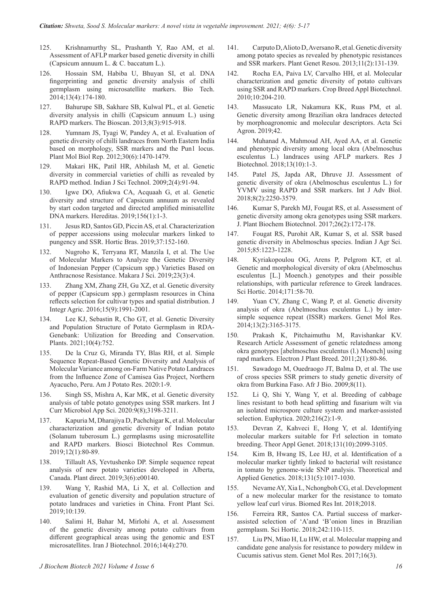- 125. Krishnamurthy SL, Prashanth Y, Rao AM, et al. [Assessment of AFLP marker based genetic diversity in chilli](https://example.comhttp://nopr.niscair.res.in/handle/123456789/31473)  (Capsicum annuum L. & C. baccatum L.).
- 126. Hossain SM, Habiba U, Bhuyan SI, et al. DNA fingerprinting and genetic diversity analysis of chilli germplasm using microsatellite markers. Bio Tech. 2014;13(4):174-180.
- 127. Bahurupe SB, Sakhare SB, Kulwal PL, et al. Genetic diversity analysis in chilli (Capsicum annuum L.) using RAPD markers. The Bioscan. 2013;8(3):915-918.
- 128. Yumnam JS, Tyagi W, Pandey A, et al. Evaluation of genetic diversity of chilli landraces from North Eastern India [based on morphology, SSR markers and the Pun1 locus.](https://example.comhttps://doi.org/10.1007/s11105-012-0466-y)  Plant Mol Biol Rep. 2012;30(6):1470-1479.
- 129. Makari HK, Patil HR, Abhilash M, et al. Genetic [diversity in commercial varieties of chilli as revealed by](https://example.comhttps://doi.org/10.17485/ijst/2009/v2i4.18)  RAPD method. Indian J Sci Technol. 2009;2(4):91-94.
- 130. Igwe DO, Afiukwa CA, Acquaah G, et al. Genetic diversity and structure of Capsicum annuum as revealed [by start codon targeted and directed amplified minisatellite](https://example.comhttps://doi.org/10.1186/s41065-019-0108-6)  DNA markers. Hereditas. 2019;156(1):1-3.
- 131. Jesus RD, Santos GD, Piccin AS, et al. Characterization [of pepper accessions using molecular markers linked to](https://example.comhttps://doi.org/10.1590/s0102-053620190205)  pungency and SSR. Hortic Bras. 2019;37:152-160.
- 132. Nugroho K, Terryana RT, Manzila I, et al. The Use [of Molecular Markers to Analyze the Genetic Diversity](https://example.comhttps://doi.org/10.7454/mss.v23i3.11261)  of Indonesian Pepper (Capsicum spp.) Varieties Based on Anthracnose Resistance. Makara J Sci. 2019;23(3):4.
- 133. Zhang XM, Zhang ZH, Gu XZ, et al. Genetic diversity [of pepper \(Capsicum spp.\) germplasm resources in China](https://example.comhttps://doi.org/10.1016/s2095-3119(16)61364-3)  reflects selection for cultivar types and spatial distribution. J Integr Agric. 2016;15(9):1991-2001.
- 134. Lee KJ, Sebastin R, Cho GT, et al. Genetic Diversity and Population Structure of Potato Germplasm in RDA-[Genebank: Utilization for Breeding and Conservation.](https://example.comhttps://doi.org/10.3390/plants10040752)  Plants. 2021;10(4):752.
- 135. De la Cruz G, Miranda TY, Blas RH, et al. Simple Sequence Repeat-Based Genetic Diversity and Analysis of [Molecular Variance among on-Farm Native Potato Landraces](https://example.comhttps://doi.org/10.1007/s12230-020-09763-7)  from the Influence Zone of Camisea Gas Project, Northern Ayacucho, Peru. Am J Potato Res. 2020:1-9.
- 136. Singh SS, Mishra A, Kar MK, et al. Genetic diversity analysis of table potato genotypes using SSR markers. Int J Curr Microbiol App Sci. 2020:9(8);3198-3211.
- 137. Kapuria M, Dharajiya D, Pachchigar K, et al. Molecular characterization and genetic diversity of Indian potato (Solanum tuberosum L.) germplasms using microsatellite and RAPD markers. Biosci Biotechnol Res Commun. 2019;12(1):80-89.
- 138. Tillault AS, Yevtushenko DP. Simple sequence repeat [analysis of new potato varieties developed in Alberta,](https://example.comhttps://doi.org/10.1002/pld3.140)  Canada. Plant direct. 2019;3(6):e00140.
- 139. Wang Y, Rashid MA, Li X, et al. Collection and evaluation of genetic diversity and population structure of [potato landraces and varieties in China. Front Plant Sci.](https://example.comhttps://doi.org/10.3389/fpls.2019.00139)  2019;10:139.
- 140. Salimi H, Bahar M, Mirlohi A, et al. Assessment [of the genetic diversity among potato cultivars from](https://example.comhttps://doi.org/10.15171/ijb.1280)  different geographical areas using the genomic and EST microsatellites. Iran J Biotechnol. 2016;14(4):270.
- *J Biochem Biotech 2021 Volume 4 Issue 6 16*
- 141. Carputo D, Alioto D, Aversano R, et al. Genetic diversity [among potato species as revealed by phenotypic resistances](https://example.comhttps://doi.org/10.1017/s1479262112000500)  and SSR markers. Plant Genet Resou. 2013;11(2):131-139.
- 142. Rocha EA, Paiva LV, Carvalho HH, et al. Molecular [characterization and genetic diversity of potato cultivars](https://example.comhttps://doi.org/10.1590/s1984-70332010000300004)  using SSR and RAPD markers. Crop Breed Appl Biotechnol. 2010;10:204-210.
- 143. Massucato LR, Nakamura KK, Ruas PM, et al. [Genetic diversity among Brazilian okra landraces detected](https://example.comhttps://doi.org/10.4025/actasciagron.v42i1.43426)  by morphoagronomic and molecular descriptors. Acta Sci Agron. 2019;42.
- 144. Muhanad A, Mahmoud AH, Ayed AA, et al. Genetic and phenotypic diversity among local okra (Abelmoschus esculentus L.) landraces using AFLP markers. Res J Biotechnol. 2018;13(10):1-3.
- 145. Patel JS, Japda AR, Dhruve JJ. Assessment of genetic diversity of okra (Abelmoschus esculentus L.) for YVMV using RAPD and SSR markers. Int J Adv Biol. 2018;8(2):2250-3579.
- 146. Kumar S, Parekh MJ, Fougat RS, et al. Assessment of [genetic diversity among okra genotypes using SSR markers.](https://example.comhttps://doi.org/10.1007/s13562-016-0378-2)  J. Plant Biochem Biotechnol. 2017;26(2):172-178.
- 147. Fougat RS, Purohit AR, Kumar S, et al. SSR based genetic diversity in Abelmoschus species. Indian J Agr Sci. 2015;85:1223-1228.
- 148. Kyriakopoulou OG, Arens P, Pelgrom KT, et al. Genetic and morphological diversity of okra (Abelmoschus esculentus [L.] Moench.) genotypes and their possible [relationships, with particular reference to Greek landraces.](https://example.comhttps://doi.org/10.1016/j.scienta.2014.03.029)  Sci Hortic. 2014;171:58-70.
- 149. Yuan CY, Zhang C, Wang P, et al. Genetic diversity analysis of okra (Abelmoschus esculentus L.) by inter[simple sequence repeat \(ISSR\) markers. Genet Mol Res.](https://example.comhttps://doi.org/10.4238/2014.april.25.1)  2014;13(2):3165-3175.
- 150. Prakash K, Pitchaimuthu M, Ravishankar KV. Research Article Assessment of genetic relatedness among okra genotypes [abelmoschus esculentus (l.) Moench] using rapd markers. Electron J Plant Breed. 2011;2(1):80-86.
- 151. Sawadogo M, Ouedraogo JT, Balma D, et al. The use of cross species SSR primers to study genetic diversity of okra from Burkina Faso. Afr J Bio. 2009;8(11).
- 152. Li Q, Shi Y, Wang Y, et al. Breeding of cabbage [lines resistant to both head splitting and fusarium wilt via](https://example.comhttps://doi.org/10.1007/s10681-020-2570-7)  an isolated microspore culture system and marker-assisted selection. Euphytica. 2020;216(2):1-9.
- 153. Devran Z, Kahveci E, Hong Y, et al. Identifying [molecular markers suitable for Frl selection in tomato](https://example.comhttps://doi.org/10.1007/s00122-018-3136-0)  breeding. Theor Appl Genet. 2018;131(10):2099-3105.
- 154. Kim B, Hwang IS, Lee HJ, et al. Identification of a [molecular marker tightly linked to bacterial wilt resistance](https://example.comhttps://doi.org/10.1007/s00122-018-3054-1)  in tomato by genome-wide SNP analysis. Theoretical and Applied Genetics. 2018;131(5):1017-1030.
- 155. Nevame AY, Xia L, Nchongboh CG, et al. Development [of a new molecular marker for the resistance to tomato](https://example.comhttps://doi.org/10.1155/2018/8120281)  yellow leaf curl virus. Biomed Res Int. 2018;2018.
- 156. Ferreira RR, Santos CA. Partial success of marker[assisted selection of 'A'and 'B'onion lines in Brazilian](https://example.comhttps://doi.org/10.1016/j.scienta.2018.08.002)  germplasm. Sci Hortic. 2018;242:110-115.
- 157. Liu PN, Miao H, Lu HW, et al. Molecular mapping and [candidate gene analysis for resistance to powdery mildew in](https://example.comhttps://doi.org/10.4238/gmr16039680)  Cucumis sativus stem. Genet Mol Res. 2017;16(3).